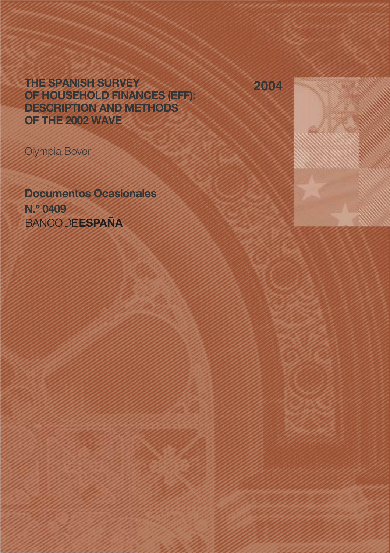THE SPANISH SURVEY OF HOUSEHOLD FINANCES (EFF): DESCRIPTION AND METHODS OF THE 2002 WAVE

Olympia Bover

Documentos Ocasionales N.º 0409 **BANCODEESPAÑA** 



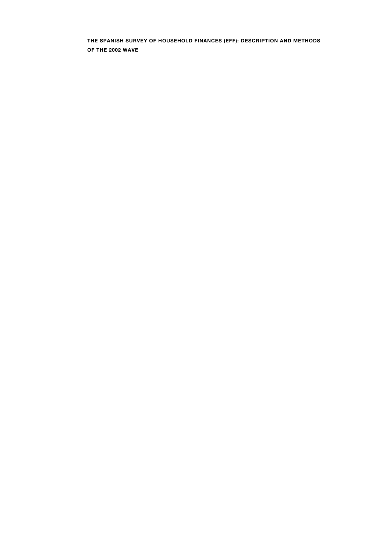THE SPANISH SURVEY OF HOUSEHOLD FINANCES (EFF): DESCRIPTION AND METHODS OF THE 2002 WAVE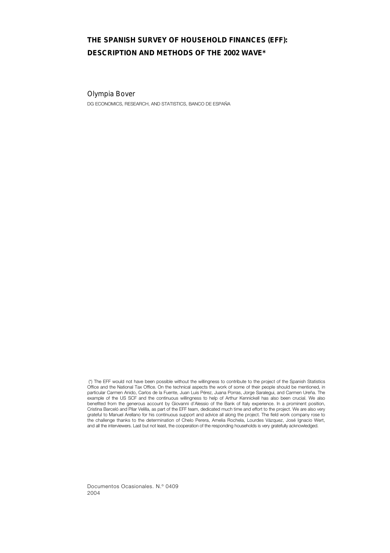# THE SPANISH SURVEY OF HOUSEHOLD FINANCES (EFF): DESCRIPTION AND METHODS OF THE 2002 WAVE\*

## Olympia Bover

DG ECONOMICS, RESEARCH, AND STATISTICS, BANCO DE ESPAÑA

 (\*) The EFF would not have been possible without the willingness to contribute to the project of the Spanish Statistics Office and the National Tax Office. On the technical aspects the work of some of their people should be mentioned, in particular Carmen Anido, Carlos de la Fuente, Juan Luis Pérez, Juana Porras, Jorge Saralegui, and Carmen Ureña. The example of the US SCF and the continuous willingness to help of Arthur Kennickell has also been crucial. We also benefited from the generous account by Giovanni d'Alessio of the Bank of Italy experience. In a prominent position, Cristina Barceló and Pilar Velilla, as part of the EFF team, dedicated much time and effort to the project. We are also very grateful to Manuel Arellano for his continuous support and advice all along the project. The field work company rose to the challenge thanks to the determination of Chelo Perera, Amelia Rochela, Lourdes Vázquez, José Ignacio Wert, and all the interviewers. Last but not least, the cooperation of the responding households is very gratefully acknowledged.

Documentos Ocasionales. N.º 0409 2004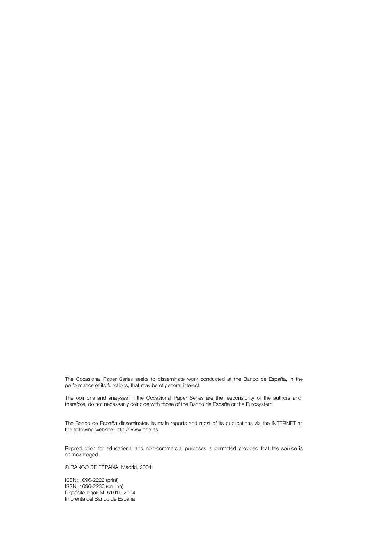The Occasional Paper Series seeks to disseminate work conducted at the Banco de España, in the performance of its functions, that may be of general interest.

The opinions and analyses in the Occasional Paper Series are the responsibility of the authors and, therefore, do not necessarily coincide with those of the Banco de España or the Eurosystem.

The Banco de España disseminates its main reports and most of its publications via the INTERNET at the following website: http://www.bde.es

Reproduction for educational and non-commercial purposes is permitted provided that the source is acknowledged.

© BANCO DE ESPAÑA, Madrid, 2004

ISSN: 1696-2222 (print) ISSN: 1696-2230 (on line) Depósito legal: M. 51919-2004 Imprenta del Banco de España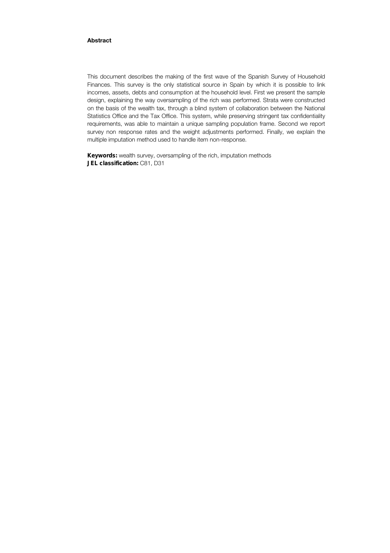## Abstract

This document describes the making of the first wave of the Spanish Survey of Household Finances. This survey is the only statistical source in Spain by which it is possible to link incomes, assets, debts and consumption at the household level. First we present the sample design, explaining the way oversampling of the rich was performed. Strata were constructed on the basis of the wealth tax, through a blind system of collaboration between the National Statistics Office and the Tax Office. This system, while preserving stringent tax confidentiality requirements, was able to maintain a unique sampling population frame. Second we report survey non response rates and the weight adjustments performed. Finally, we explain the multiple imputation method used to handle item non-response.

Keywords: wealth survey, oversampling of the rich, imputation methods JEL classification: C81, D31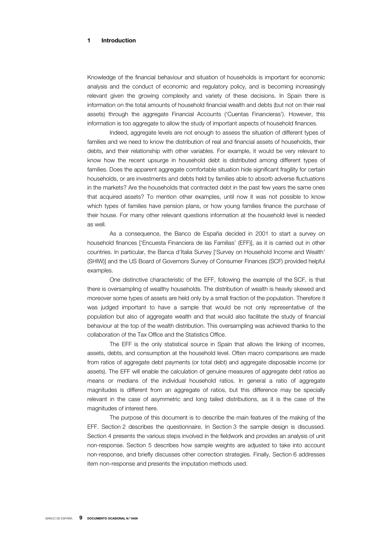## 1 Introduction

Knowledge of the financial behaviour and situation of households is important for economic analysis and the conduct of economic and regulatory policy, and is becoming increasingly relevant given the growing complexity and variety of these decisions. In Spain there is information on the total amounts of household financial wealth and debts (but not on their real assets) through the aggregate Financial Accounts ('Cuentas Financieras'). However, this information is too aggregate to allow the study of important aspects of household finances.

Indeed, aggregate levels are not enough to assess the situation of different types of families and we need to know the distribution of real and financial assets of households, their debts, and their relationship with other variables. For example, it would be very relevant to know how the recent upsurge in household debt is distributed among different types of families. Does the apparent aggregate comfortable situation hide significant fragility for certain households, or are investments and debts held by families able to absorb adverse fluctuations in the markets? Are the households that contracted debt in the past few years the same ones that acquired assets? To mention other examples, until now it was not possible to know which types of families have pension plans, or how young families finance the purchase of their house. For many other relevant questions information at the household level is needed as well.

As a consequence, the Banco de España decided in 2001 to start a survey on household finances ['Encuesta Financiera de las Familias' (EFF)], as it is carried out in other countries. In particular, the Banca d'Italia Survey ['Survey on Household Income and Wealth' (SHIW)] and the US Board of Governors Survey of Consumer Finances (SCF) provided helpful examples.

One distinctive characteristic of the EFF, following the example of the SCF, is that there is oversampling of wealthy households. The distribution of wealth is heavily skewed and moreover some types of assets are held only by a small fraction of the population. Therefore it was judged important to have a sample that would be not only representative of the population but also of aggregate wealth and that would also facilitate the study of financial behaviour at the top of the wealth distribution. This oversampling was achieved thanks to the collaboration of the Tax Office and the Statistics Office.

The EFF is the only statistical source in Spain that allows the linking of incomes, assets, debts, and consumption at the household level. Often macro comparisons are made from ratios of aggregate debt payments (or total debt) and aggregate disposable income (or assets). The EFF will enable the calculation of genuine measures of aggregate debt ratios as means or medians of the individual household ratios. In general a ratio of aggregate magnitudes is different from an aggregate of ratios, but this difference may be specially relevant in the case of asymmetric and long tailed distributions, as it is the case of the magnitudes of interest here.

The purpose of this document is to describe the main features of the making of the EFF. Section 2 describes the questionnaire. In Section 3 the sample design is discussed. Section 4 presents the various steps involved in the fieldwork and provides an analysis of unit non-response. Section 5 describes how sample weights are adjusted to take into account non-response, and briefly discusses other correction strategies. Finally, Section 6 addresses item non-response and presents the imputation methods used.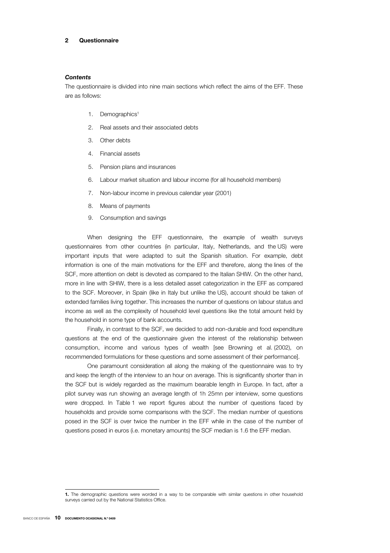### 2 Questionnaire

#### *Contents*

The questionnaire is divided into nine main sections which reflect the aims of the EFF. These are as follows:

- 1. Demographics<sup>1</sup>
- 2. Real assets and their associated debts
- 3. Other debts
- 4. Financial assets
- 5. Pension plans and insurances
- 6. Labour market situation and labour income (for all household members)
- 7. Non-labour income in previous calendar year (2001)
- 8. Means of payments
- 9. Consumption and savings

When designing the EFF questionnaire, the example of wealth surveys questionnaires from other countries (in particular, Italy, Netherlands, and the US) were important inputs that were adapted to suit the Spanish situation. For example, debt information is one of the main motivations for the EFF and therefore, along the lines of the SCF, more attention on debt is devoted as compared to the Italian SHIW. On the other hand, more in line with SHIW, there is a less detailed asset categorization in the EFF as compared to the SCF. Moreover, in Spain (like in Italy but unlike the US), account should be taken of extended families living together. This increases the number of questions on labour status and income as well as the complexity of household level questions like the total amount held by the household in some type of bank accounts.

Finally, in contrast to the SCF, we decided to add non-durable and food expenditure questions at the end of the questionnaire given the interest of the relationship between consumption, income and various types of wealth [see Browning et al. (2002), on recommended formulations for these questions and some assessment of their performance].

One paramount consideration all along the making of the questionnaire was to try and keep the length of the interview to an hour on average. This is significantly shorter than in the SCF but is widely regarded as the maximum bearable length in Europe. In fact, after a pilot survey was run showing an average length of 1h 25mn per interview, some questions were dropped. In Table 1 we report figures about the number of questions faced by households and provide some comparisons with the SCF. The median number of questions posed in the SCF is over twice the number in the EFF while in the case of the number of questions posed in euros (i.e. monetary amounts) the SCF median is 1.6 the EFF median.

<sup>1.</sup> The demographic questions were worded in a way to be comparable with similar questions in other household surveys carried out by the National Statistics Office.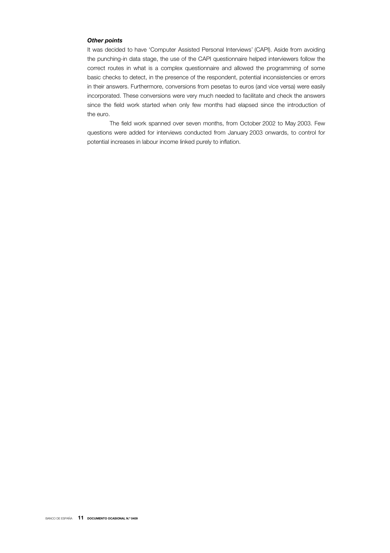## *Other points*

It was decided to have 'Computer Assisted Personal Interviews' (CAPI). Aside from avoiding the punching-in data stage, the use of the CAPI questionnaire helped interviewers follow the correct routes in what is a complex questionnaire and allowed the programming of some basic checks to detect, in the presence of the respondent, potential inconsistencies or errors in their answers. Furthermore, conversions from pesetas to euros (and vice versa) were easily incorporated. These conversions were very much needed to facilitate and check the answers since the field work started when only few months had elapsed since the introduction of the euro.

The field work spanned over seven months, from October 2002 to May 2003. Few questions were added for interviews conducted from January 2003 onwards, to control for potential increases in labour income linked purely to inflation.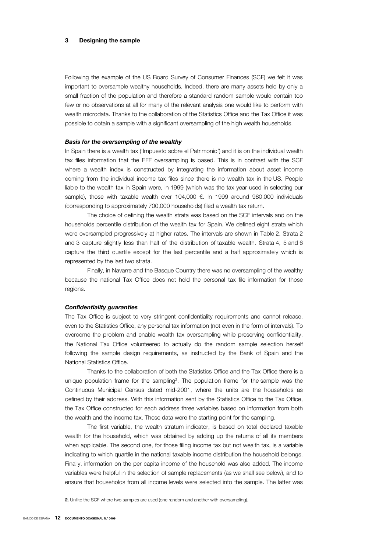#### 3 Designing the sample

Following the example of the US Board Survey of Consumer Finances (SCF) we felt it was important to oversample wealthy households. Indeed, there are many assets held by only a small fraction of the population and therefore a standard random sample would contain too few or no observations at all for many of the relevant analysis one would like to perform with wealth microdata. Thanks to the collaboration of the Statistics Office and the Tax Office it was possible to obtain a sample with a significant oversampling of the high wealth households.

#### *Basis for the oversampling of the wealthy*

In Spain there is a wealth tax ('Impuesto sobre el Patrimonio') and it is on the individual wealth tax files information that the EFF oversampling is based. This is in contrast with the SCF where a wealth index is constructed by integrating the information about asset income coming from the individual income tax files since there is no wealth tax in the US. People liable to the wealth tax in Spain were, in 1999 (which was the tax year used in selecting our sample), those with taxable wealth over 104,000 €. In 1999 around 980,000 individuals (corresponding to approximately 700,000 households) filed a wealth tax return.

The choice of defining the wealth strata was based on the SCF intervals and on the households percentile distribution of the wealth tax for Spain. We defined eight strata which were oversampled progressively at higher rates. The intervals are shown in Table 2. Strata 2 and 3 capture slightly less than half of the distribution of taxable wealth. Strata 4, 5 and 6 capture the third quartile except for the last percentile and a half approximately which is represented by the last two strata.

Finally, in Navarre and the Basque Country there was no oversampling of the wealthy because the national Tax Office does not hold the personal tax file information for those regions.

#### *Confidentiality guaranties*

The Tax Office is subject to very stringent confidentiality requirements and cannot release, even to the Statistics Office, any personal tax information (not even in the form of intervals). To overcome the problem and enable wealth tax oversampling while preserving confidentiality, the National Tax Office volunteered to actually do the random sample selection herself following the sample design requirements, as instructed by the Bank of Spain and the National Statistics Office.

Thanks to the collaboration of both the Statistics Office and the Tax Office there is a unique population frame for the sampling<sup>2</sup>. The population frame for the sample was the Continuous Municipal Census dated mid-2001, where the units are the households as defined by their address. With this information sent by the Statistics Office to the Tax Office, the Tax Office constructed for each address three variables based on information from both the wealth and the income tax. These data were the starting point for the sampling.

The first variable, the wealth stratum indicator, is based on total declared taxable wealth for the household, which was obtained by adding up the returns of all its members when applicable. The second one, for those filing income tax but not wealth tax, is a variable indicating to which quartile in the national taxable income distribution the household belongs. Finally, information on the per capita income of the household was also added. The income variables were helpful in the selection of sample replacements (as we shall see below), and to ensure that households from all income levels were selected into the sample. The latter was

<sup>2.</sup> Unlike the SCF where two samples are used (one random and another with oversampling).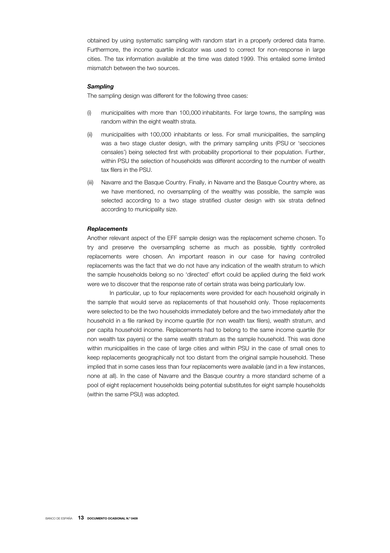obtained by using systematic sampling with random start in a properly ordered data frame. Furthermore, the income quartile indicator was used to correct for non-response in large cities. The tax information available at the time was dated 1999. This entailed some limited mismatch between the two sources.

#### *Sampling*

The sampling design was different for the following three cases:

- (i) municipalities with more than 100,000 inhabitants. For large towns, the sampling was random within the eight wealth strata.
- (ii) municipalities with 100,000 inhabitants or less. For small municipalities, the sampling was a two stage cluster design, with the primary sampling units (PSU or 'secciones censales') being selected first with probability proportional to their population. Further, within PSU the selection of households was different according to the number of wealth tax filers in the PSU.
- (iii) Navarre and the Basque Country. Finally, in Navarre and the Basque Country where, as we have mentioned, no oversampling of the wealthy was possible, the sample was selected according to a two stage stratified cluster design with six strata defined according to municipality size.

### *Replacements*

Another relevant aspect of the EFF sample design was the replacement scheme chosen. To try and preserve the oversampling scheme as much as possible, tightly controlled replacements were chosen. An important reason in our case for having controlled replacements was the fact that we do not have any indication of the wealth stratum to which the sample households belong so no 'directed' effort could be applied during the field work were we to discover that the response rate of certain strata was being particularly low.

In particular, up to four replacements were provided for each household originally in the sample that would serve as replacements of that household only. Those replacements were selected to be the two households immediately before and the two immediately after the household in a file ranked by income quartile (for non wealth tax filers), wealth stratum, and per capita household income. Replacements had to belong to the same income quartile (for non wealth tax payers) or the same wealth stratum as the sample household. This was done within municipalities in the case of large cities and within PSU in the case of small ones to keep replacements geographically not too distant from the original sample household. These implied that in some cases less than four replacements were available (and in a few instances, none at all). In the case of Navarre and the Basque country a more standard scheme of a pool of eight replacement households being potential substitutes for eight sample households (within the same PSU) was adopted.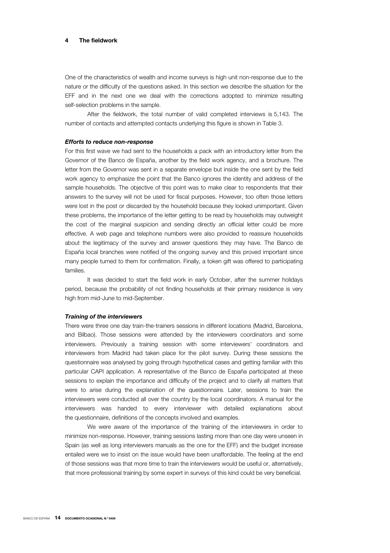### The fieldwork

One of the characteristics of wealth and income surveys is high unit non-response due to the nature or the difficulty of the questions asked. In this section we describe the situation for the EFF and in the next one we deal with the corrections adopted to minimize resulting self-selection problems in the sample.

After the fieldwork, the total number of valid completed interviews is 5,143. The number of contacts and attempted contacts underlying this figure is shown in Table 3.

#### *Efforts to reduce non-response*

For this first wave we had sent to the households a pack with an introductory letter from the Governor of the Banco de España, another by the field work agency, and a brochure. The letter from the Governor was sent in a separate envelope but inside the one sent by the field work agency to emphasize the point that the Banco ignores the identity and address of the sample households. The objective of this point was to make clear to respondents that their answers to the survey will not be used for fiscal purposes. However, too often those letters were lost in the post or discarded by the household because they looked unimportant. Given these problems, the importance of the letter getting to be read by households may outweight the cost of the marginal suspicion and sending directly an official letter could be more effective. A web page and telephone numbers were also provided to reassure households about the legitimacy of the survey and answer questions they may have. The Banco de España local branches were notified of the ongoing survey and this proved important since many people turned to them for confirmation. Finally, a token gift was offered to participating families.

It was decided to start the field work in early October, after the summer holidays period, because the probability of not finding households at their primary residence is very high from mid-June to mid-September.

#### *Training of the interviewers*

There were three one day train-the-trainers sessions in different locations (Madrid, Barcelona, and Bilbao). Those sessions were attended by the interviewers coordinators and some interviewers. Previously a training session with some interviewers' coordinators and interviewers from Madrid had taken place for the pilot survey. During these sessions the questionnaire was analysed by going through hypothetical cases and getting familiar with this particular CAPI application. A representative of the Banco de España participated at these sessions to explain the importance and difficulty of the project and to clarify all matters that were to arise during the explanation of the questionnaire*.* Later, sessions to train the interviewers were conducted all over the country by the local coordinators. A manual for the interviewers was handed to every interviewer with detailed explanations about the questionnaire, definitions of the concepts involved and examples.

We were aware of the importance of the training of the interviewers in order to minimize non-response. However, training sessions lasting more than one day were unseen in Spain (as well as long interviewers manuals as the one for the EFF) and the budget increase entailed were we to insist on the issue would have been unaffordable. The feeling at the end of those sessions was that more time to train the interviewers would be useful or, alternatively, that more professional training by some expert in surveys of this kind could be very beneficial.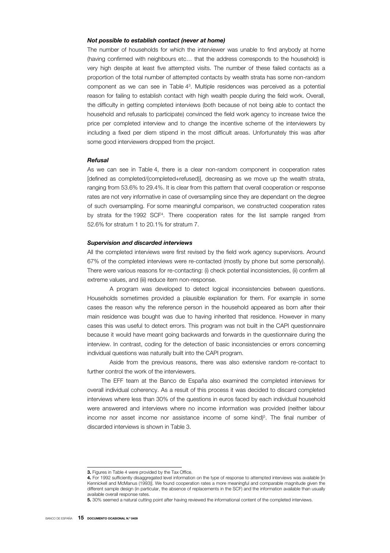#### *Not possible to establish contact (never at home)*

The number of households for which the interviewer was unable to find anybody at home (having confirmed with neighbours etc… that the address corresponds to the household) is very high despite at least five attempted visits. The number of these failed contacts as a proportion of the total number of attempted contacts by wealth strata has some non-random component as we can see in Table 43. Multiple residences was perceived as a potential reason for failing to establish contact with high wealth people during the field work. Overall, the difficulty in getting completed interviews (both because of not being able to contact the household and refusals to participate) convinced the field work agency to increase twice the price per completed interview and to change the incentive scheme of the interviewers by including a fixed per diem stipend in the most difficult areas. Unfortunately this was after some good interviewers dropped from the project.

#### *Refusal*

As we can see in Table 4, there is a clear non-random component in cooperation rates [defined as completed/(completed+refused)], decreasing as we move up the wealth strata, ranging from 53.6% to 29.4%. It is clear from this pattern that overall cooperation or response rates are not very informative in case of oversampling since they are dependant on the degree of such oversampling. For some meaningful comparison, we constructed cooperation rates by strata for the 1992 SCF4. There cooperation rates for the list sample ranged from 52.6% for stratum 1 to 20.1% for stratum 7.

#### *Supervision and discarded interviews*

All the completed interviews were first revised by the field work agency supervisors. Around 67% of the completed interviews were re-contacted (mostly by phone but some personally). There were various reasons for re-contacting: (i) check potential inconsistencies, (ii) confirm all extreme values, and (iii) reduce item non-response.

A program was developed to detect logical inconsistencies between questions. Households sometimes provided a plausible explanation for them. For example in some cases the reason why the reference person in the household appeared as born after their main residence was bought was due to having inherited that residence. However in many cases this was useful to detect errors. This program was not built in the CAPI questionnaire because it would have meant going backwards and forwards in the questionnaire during the interview. In contrast, coding for the detection of basic inconsistencies or errors concerning individual questions was naturally built into the CAPI program.

Aside from the previous reasons, there was also extensive random re-contact to further control the work of the interviewers.

The EFF team at the Banco de España also examined the completed interviews for overall individual coherency. As a result of this process it was decided to discard completed interviews where less than 30% of the questions in euros faced by each individual household were answered and interviews where no income information was provided (neither labour income nor asset income nor assistance income of some kind)<sup>5</sup>. The final number of discarded interviews is shown in Table 3.

<sup>3.</sup> Figures in Table 4 were provided by the Tax Office.

<sup>4.</sup> For 1992 sufficiently disaggregated level information on the type of response to attempted interviews was available [in Kennickell and McManus (1993)]. We found cooperation rates a more meaningful and comparable magnitude given the different sample design (in particular, the absence of replacements in the SCF) and the information available than usually available overall response rates.

<sup>5.</sup> 30% seemed a natural cutting point after having reviewed the informational content of the completed interviews.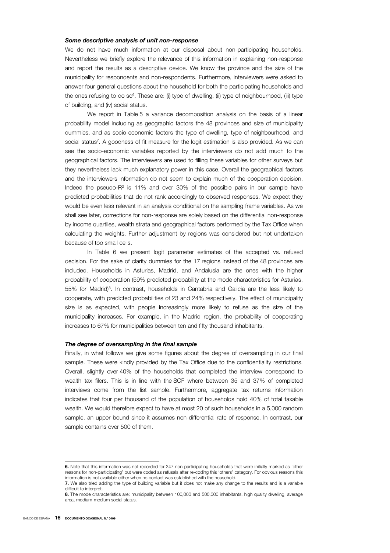#### *Some descriptive analysis of unit non-response*

We do not have much information at our disposal about non-participating households. Nevertheless we briefly explore the relevance of this information in explaining non-response and report the results as a descriptive device. We know the province and the size of the municipality for respondents and non-respondents. Furthermore, interviewers were asked to answer four general questions about the household for both the participating households and the ones refusing to do so<sup>6</sup>. These are: (i) type of dwelling, (ii) type of neighbourhood, (iii) type of building, and (iv) social status.

We report in Table 5 a variance decomposition analysis on the basis of a linear probability model including as geographic factors the 48 provinces and size of municipality dummies, and as socio-economic factors the type of dwelling, type of neighbourhood, and social status<sup>7</sup>. A goodness of fit measure for the logit estimation is also provided. As we can see the socio-economic variables reported by the interviewers do not add much to the geographical factors. The interviewers are used to filling these variables for other surveys but they nevertheless lack much explanatory power in this case. Overall the geographical factors and the interviewers information do not seem to explain much of the cooperation decision. Indeed the pseudo- $R^2$  is 11% and over 30% of the possible pairs in our sample have predicted probabilities that do not rank accordingly to observed responses. We expect they would be even less relevant in an analysis conditional on the sampling frame variables. As we shall see later, corrections for non-response are solely based on the differential non-response by income quartiles, wealth strata and geographical factors performed by the Tax Office when calculating the weights. Further adjustment by regions was considered but not undertaken because of too small cells.

In Table 6 we present logit parameter estimates of the accepted vs. refused decision. For the sake of clarity dummies for the 17 regions instead of the 48 provinces are included. Households in Asturias, Madrid, and Andalusia are the ones with the higher probability of cooperation (59% predicted probability at the mode characteristics for Asturias,  $55\%$  for Madrid)<sup>8</sup>. In contrast, households in Cantabria and Galicia are the less likely to cooperate, with predicted probabilities of 23 and 24% respectively. The effect of municipality size is as expected, with people increasingly more likely to refuse as the size of the municipality increases. For example, in the Madrid region, the probability of cooperating increases to 67% for municipalities between ten and fifty thousand inhabitants.

#### *The degree of oversampling in the final sample*

Finally, in what follows we give some figures about the degree of oversampling in our final sample. These were kindly provided by the Tax Office due to the confidentiality restrictions. Overall, slightly over 40% of the households that completed the interview correspond to wealth tax filers. This is in line with the SCF where between 35 and 37% of completed interviews come from the list sample. Furthermore, aggregate tax returns information indicates that four per thousand of the population of households hold 40% of total taxable wealth. We would therefore expect to have at most 20 of such households in a 5,000 random sample, an upper bound since it assumes non-differential rate of response. In contrast, our sample contains over 500 of them.

<sup>6.</sup> Note that this information was not recorded for 247 non-participating households that were initially marked as 'other reasons for non-participating' but were coded as refusals after re-coding this 'others' category. For obvious reasons this information is not available either when no contact was established with the household.

<sup>7.</sup> We also tried adding the type of building variable but it does not make any change to the results and is a variable difficult to interpret.

<sup>8.</sup> The mode characteristics are: municipality between 100,000 and 500,000 inhabitants, high quality dwelling, average area, medium-medium social status.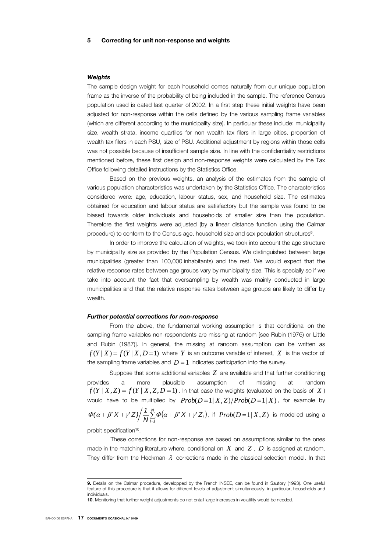#### *Weights*

The sample design weight for each household comes naturally from our unique population frame as the inverse of the probability of being included in the sample. The reference Census population used is dated last quarter of 2002. In a first step these initial weights have been adjusted for non-response within the cells defined by the various sampling frame variables (which are different according to the municipality size). In particular these include: municipality size, wealth strata, income quartiles for non wealth tax filers in large cities, proportion of wealth tax filers in each PSU, size of PSU. Additional adjustment by regions within those cells was not possible because of insufficient sample size. In line with the confidentiality restrictions mentioned before, these first design and non-response weights were calculated by the Tax Office following detailed instructions by the Statistics Office.

Based on the previous weights, an analysis of the estimates from the sample of various population characteristics was undertaken by the Statistics Office. The characteristics considered were: age, education, labour status, sex, and household size. The estimates obtained for education and labour status are satisfactory but the sample was found to be biased towards older individuals and households of smaller size than the population. Therefore the first weights were adjusted (by a linear distance function using the Calmar procedure) to conform to the Census age, household size and sex population structures<sup>9</sup>.

In order to improve the calculation of weights, we took into account the age structure by municipality size as provided by the Population Census. We distinguished between large municipalities (greater than 100,000 inhabitants) and the rest. We would expect that the relative response rates between age groups vary by municipality size. This is specially so if we take into account the fact that oversampling by wealth was mainly conducted in large municipalities and that the relative response rates between age groups are likely to differ by wealth.

#### *Further potential corrections for non-response*

From the above, the fundamental working assumption is that conditional on the sampling frame variables non-respondents are missing at random [see Rubin (1976) or Little and Rubin (1987)]. In general, the missing at random assumption can be written as  $f(Y|X) = f(Y|X,D=1)$  where Y is an outcome variable of interest, X is the vector of the sampling frame variables and  $D=1$  indicates participation into the survey.

Suppose that some additional variables *Z* are available and that further conditioning provides a more plausible assumption of missing at random  $f(Y | X, Z) = f(Y | X, Z, D = 1)$ . In that case the weights (evaluated on the basis of *X*) would have to be multiplied by  $Prob(D=1|X,Z)/Prob(D=1|X)$ , for example by  $\Phi(\alpha+\beta'X+\gamma'Z)\bigg/\frac{1}{N}\sum_{l=1}^{N}\Phi(\alpha+\beta'X+\gamma'Z_{l})$ , if  $Prob(D=1|X,Z)$  is modelled using a

probit specification<sup>10</sup>.

 These corrections for non-response are based on assumptions similar to the ones made in the matching literature where, conditional on *X* and *Z* , *D* is assigned at random. They differ from the Heckman- $\lambda$  corrections made in the classical selection model. In that

I

<sup>9.</sup> Details on the Calmar procedure, developped by the French INSEE, can be found in Sautory (1993). One useful feature of this procedure is that it allows for different levels of adjustment simultaneously, in particular, households and individuals.

<sup>10.</sup> Monitoring that further weight adjustments do not entail large increases in volatility would be needed.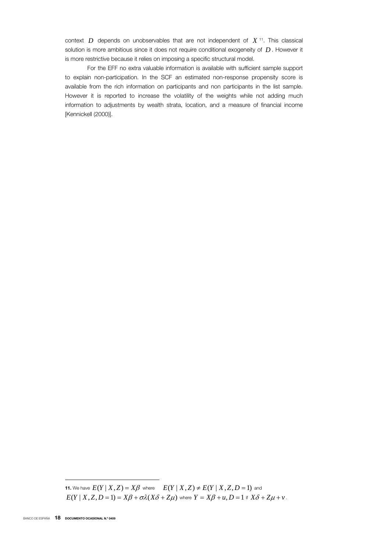context *D* depends on unobservables that are not independent of *X* 11. This classical solution is more ambitious since it does not require conditional exogeneity of *D* . However it is more restrictive because it relies on imposing a specific structural model.

For the EFF no extra valuable information is available with sufficient sample support to explain non-participation. In the SCF an estimated non-response propensity score is available from the rich information on participants and non participants in the list sample. However it is reported to increase the volatility of the weights while not adding much information to adjustments by wealth strata, location, and a measure of financial income [Kennickell (2000)].

11. We have  $E(Y | X, Z) = X\beta$  where  $E(Y | X, Z) \neq E(Y | X, Z, D = 1)$  and  $E(Y | X, Z, D = 1) = X\beta + \sigma\lambda(X\delta + Z\mu)$  where  $Y = X\beta + u, D = 1$  if  $X\delta + Z\mu + v$ .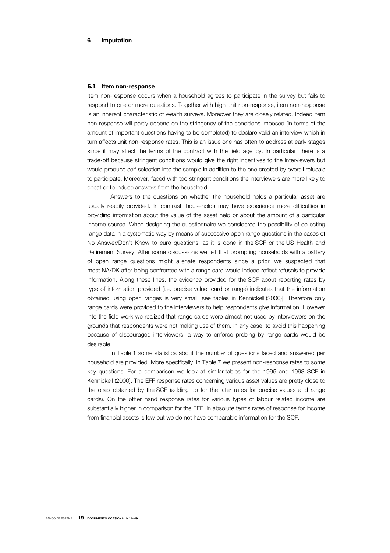#### *6.1 Item non-response*

Item non-response occurs when a household agrees to participate in the survey but fails to respond to one or more questions. Together with high unit non-response, item non-response is an inherent characteristic of wealth surveys. Moreover they are closely related. Indeed item non-response will partly depend on the stringency of the conditions imposed (in terms of the amount of important questions having to be completed) to declare valid an interview which in turn affects unit non-response rates. This is an issue one has often to address at early stages since it may affect the terms of the contract with the field agency. In particular, there is a trade-off because stringent conditions would give the right incentives to the interviewers but would produce self-selection into the sample in addition to the one created by overall refusals to participate. Moreover, faced with too stringent conditions the interviewers are more likely to cheat or to induce answers from the household.

Answers to the questions on whether the household holds a particular asset are usually readily provided. In contrast, households may have experience more difficulties in providing information about the value of the asset held or about the amount of a particular income source. When designing the questionnaire we considered the possibility of collecting range data in a systematic way by means of successive open range questions in the cases of No Answer/Don't Know to euro questions, as it is done in the SCF or the US Health and Retirement Survey. After some discussions we felt that prompting households with a battery of open range questions might alienate respondents since a priori we suspected that most NA/DK after being confronted with a range card would indeed reflect refusals to provide information. Along these lines, the evidence provided for the SCF about reporting rates by type of information provided (i.e. precise value, card or range) indicates that the information obtained using open ranges is very small [see tables in Kennickell (2000)]. Therefore only range cards were provided to the interviewers to help respondents give information. However into the field work we realized that range cards were almost not used by interviewers on the grounds that respondents were not making use of them. In any case, to avoid this happening because of discouraged interviewers, a way to enforce probing by range cards would be desirable.

In Table 1 some statistics about the number of questions faced and answered per household are provided. More specifically, in Table 7 we present non-response rates to some key questions. For a comparison we look at similar tables for the 1995 and 1998 SCF in Kennickell (2000). The EFF response rates concerning various asset values are pretty close to the ones obtained by the SCF (adding up for the later rates for precise values and range cards). On the other hand response rates for various types of labour related income are substantially higher in comparison for the EFF. In absolute terms rates of response for income from financial assets is low but we do not have comparable information for the SCF.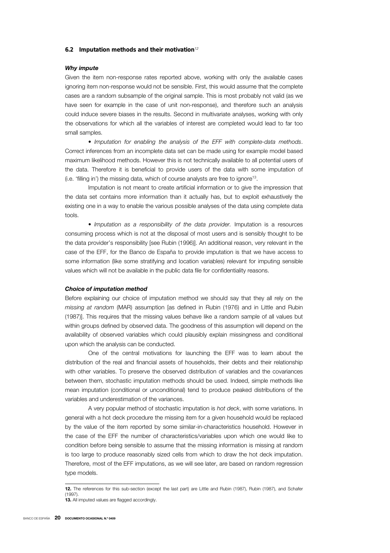#### *6.2 Imputation methods and their motivation<sup>12</sup>*

## *Why impute*

Given the item non-response rates reported above, working with only the available cases ignoring item non-response would not be sensible. First, this would assume that the complete cases are a random subsample of the original sample. This is most probably not valid (as we have seen for example in the case of unit non-response), and therefore such an analysis could induce severe biases in the results. Second in multivariate analyses, working with only the observations for which all the variables of interest are completed would lead to far too small samples.

• *Imputation for enabling the analysis of the EFF with complete-data methods*. Correct inferences from an incomplete data set can be made using for example model based maximum likelihood methods. However this is not technically available to all potential users of the data. Therefore it is beneficial to provide users of the data with some imputation of (i.e. 'filling in') the missing data, which of course analysts are free to ignore13.

Imputation is not meant to create artificial information or to give the impression that the data set contains more information than it actually has, but to exploit exhaustively the existing one in a way to enable the various possible analyses of the data using complete data tools.

• *Imputation as a responsibility of the data provider.* Imputation is a resources consuming process which is not at the disposal of most users and is sensibly thought to be the data provider's responsibility [see Rubin (1996)]. An additional reason, very relevant in the case of the EFF, for the Banco de España to provide imputation is that we have access to some information (like some stratifying and location variables) relevant for imputing sensible values which will not be available in the public data file for confidentiality reasons.

#### *Choice of imputation method*

Before explaining our choice of imputation method we should say that they all rely on the *missing at random* (MAR) assumption [as defined in Rubin (1976) and in Little and Rubin (1987)]. This requires that the missing values behave like a random sample of all values but within groups defined by observed data. The goodness of this assumption will depend on the availability of observed variables which could plausibly explain missingness and conditional upon which the analysis can be conducted.

One of the central motivations for launching the EFF was to learn about the distribution of the real and financial assets of households, their debts and their relationship with other variables. To preserve the observed distribution of variables and the covariances between them, stochastic imputation methods should be used. Indeed, simple methods like mean imputation (conditional or unconditional) tend to produce peaked distributions of the variables and underestimation of the variances.

A very popular method of stochastic imputation is *hot deck*, with some variations. In general with a hot deck procedure the missing item for a given household would be replaced by the value of the item reported by some similar-in-characteristics household. However in the case of the EFF the number of characteristics/variables upon which one would like to condition before being sensible to assume that the missing information is missing at random is too large to produce reasonably sized cells from which to draw the hot deck imputation. Therefore, most of the EFF imputations, as we will see later, are based on random regression type models.

<sup>12.</sup> The references for this sub-section (except the last part) are Little and Rubin (1987), Rubin (1987), and Schafer (1997). 13. All imputed values are flagged accordingly.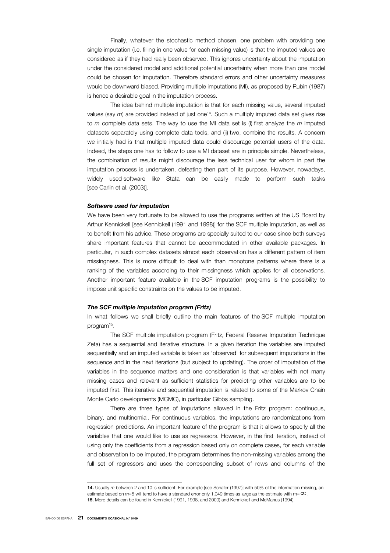Finally, whatever the stochastic method chosen, one problem with providing one single imputation (i.e. filling in one value for each missing value) is that the imputed values are considered as if they had really been observed. This ignores uncertainty about the imputation under the considered model and additional potential uncertainty when more than one model could be chosen for imputation. Therefore standard errors and other uncertainty measures would be downward biased. Providing multiple imputations (MI), as proposed by Rubin (1987) is hence a desirable goal in the imputation process.

The idea behind multiple imputation is that for each missing value, several imputed values (say *m*) are provided instead of just one14. Such a multiply imputed data set gives rise to *m* complete data sets. The way to use the MI data set is (i) first analyze the *m* imputed datasets separately using complete data tools, and (ii) two, combine the results. A concern we initially had is that multiple imputed data could discourage potential users of the data. Indeed, the steps one has to follow to use a MI dataset are in principle simple. Nevertheless, the combination of results might discourage the less technical user for whom in part the imputation process is undertaken, defeating then part of its purpose. However, nowadays, widely used software like Stata can be easily made to perform such tasks [see Carlin et al. (2003)].

#### *Software used for imputation*

We have been very fortunate to be allowed to use the programs written at the US Board by Arthur Kennickell [see Kennickell (1991 and 1998)] for the SCF multiple imputation, as well as to benefit from his advice. These programs are specially suited to our case since both surveys share important features that cannot be accommodated in other available packages. In particular, in such complex datasets almost each observation has a different pattern of item missingness. This is more difficult to deal with than monotone patterns where there is a ranking of the variables according to their missingness which applies for all observations. Another important feature available in the SCF imputation programs is the possibility to impose unit specific constraints on the values to be imputed.

#### *The SCF multiple imputation program (Fritz)*

In what follows we shall briefly outline the main features of the SCF multiple imputation program<sup>15</sup>.

The SCF multiple imputation program (Fritz, Federal Reserve Imputation Technique Zeta) has a sequential and iterative structure. In a given iteration the variables are imputed sequentially and an imputed variable is taken as 'observed' for subsequent imputations in the sequence and in the next iterations (but subject to updating). The order of imputation of the variables in the sequence matters and one consideration is that variables with not many missing cases and relevant as sufficient statistics for predicting other variables are to be imputed first. This iterative and sequential imputation is related to some of the Markov Chain Monte Carlo developments (MCMC), in particular Gibbs sampling.

There are three types of imputations allowed in the Fritz program: continuous, binary, and multinomial. For continuous variables, the imputations are randomizations from regression predictions. An important feature of the program is that it allows to specify all the variables that one would like to use as regressors. However, in the first iteration, instead of using only the coefficients from a regression based only on complete cases, for each variable and observation to be imputed, the program determines the non-missing variables among the full set of regressors and uses the corresponding subset of rows and columns of the

<sup>14.</sup> Usually *m* between 2 and 10 is sufficient. For example [see Schafer (1997)] with 50% of the information missing, an estimate based on  $m=5$  will tend to have a standard error only 1.049 times as large as the estimate with m= $\infty$ . 15. More details can be found in Kennickell (1991, 1998, and 2000) and Kennickell and McManus (1994).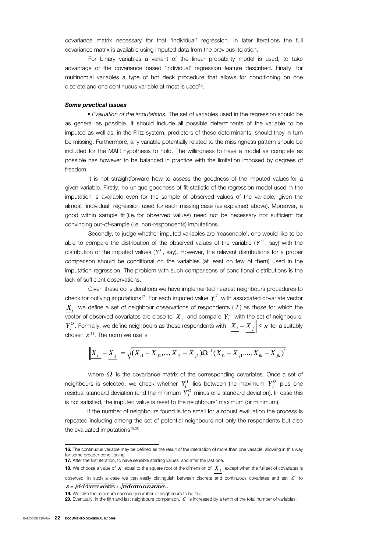covariance matrix necessary for that 'individual' regression. In later iterations the full covariance matrix is available using imputed data from the previous iteration.

For binary variables a variant of the linear probability model is used, to take advantage of the covariance based 'individual' regression feature described. Finally, for multinomial variables a type of hot deck procedure that allows for conditioning on one discrete and one continuous variable at most is used<sup>16</sup>.

#### *Some practical issues*

• *Evaluation of the imputations.* The set of variables used in the regression should be as general as possible. It should include all possible determinants of the variable to be imputed as well as, in the Fritz system, predictors of these determinants, should they in turn be missing. Furthermore, any variable potentially related to the missingness pattern should be included for the MAR hypothesis to hold. The willingness to have a model as complete as possible has however to be balanced in practice with the limitation imposed by degrees of freedom.

It is not straightforward how to assess the goodness of the imputed values for a given variable. Firstly, no unique goodness of fit statistic of the regression model used in the imputation is available even for the sample of observed values of the variable, given the almost 'individual' regression used for each missing case (as explained above). Moreover, a good within sample fit (i.e. for observed values) need not be necessary nor sufficient for convincing out-of-sample (i.e. non-respondents) imputations.

Secondly, to judge whether imputed variables are 'reasonable', one would like to be able to compare the distribution of the observed values of the variable  $(Y^{\circ})$ , say) with the distribution of the imputed values (Y', say). However, the relevant distributions for a proper comparison should be conditional on the variables (at least on few of them) used in the imputation regression. The problem with such comparisons of conditional distributions is the lack of sufficient observations.

Given these considerations we have implemented nearest neighbours procedures to check for outlying imputations<sup>17</sup>. For each imputed value  $Y_i^I$  with associated covariate vector  $X_i$  we define a set of neighbour observations of respondents  $(J)$  as those for which the  $\overline{V_{i}}$  vector of observed covariates are close to  $\overline{X}_{i}$  and compare  $\overline{Y}_{i}^{I}$  with the set of neighbours'  $\sum_{J}^{O}$  . Formally, we define neighbours as those respondents with  $\left\|X_i - X_j\right\| \leq \varepsilon$  for a suitably chosen  $\varepsilon^{18}$ . The norm we use is

$$
\left\| X_{i} - X_{j} \right\| = \sqrt{(X_{i1} - X_{j1},..., X_{ik} - X_{jk})\Omega^{-1}(X_{i1} - X_{j1},..., X_{ik} - X_{jk})}
$$

where  $\Omega$  is the covariance matrix of the corresponding covariates. Once a set of neighbours is selected, we check whether  $Y_i^I$  lies between the maximum  $Y_i^O$  plus one residual standard deviation (and the minimum  $Y_t^O$  minus one standard deviation). In case this is not satisfied, the imputed value is reset to the neighbours' maximum (or minimum).

If the number of neighbours found is too small for a robust evaluation the process is repeated including among the set of potential neighbours not only the respondents but also the evaluated imputations<sup>19,20</sup>.

<sup>16.</sup> The continuous variable may be defined as the result of the interaction of more than one variable, allowing in this way for some broader conditioning.

<sup>17.</sup> After the first iteration, to have sensible starting values, and after the last one.

**<sup>18.</sup>** We choose a value of  $\varepsilon$  equal to the square root of the dimension of  $X_i$  except when the full set of covariates is

observed. In such a case we can easily distinguish between discrete and continuous covariates and set  $\mathcal E$  to  $\mathcal{E} = \sqrt{n^{\circ}}$  of discrete variables  $+ \sqrt{n^{\circ}}$  of continuous variables

<sup>19.</sup> We take the minimum necessary number of neighbours to be 15.

<sup>20.</sup> Eventually, in the fifth and last neighbours comparison,  $\mathcal E$  is increased by a tenth of the total number of variables.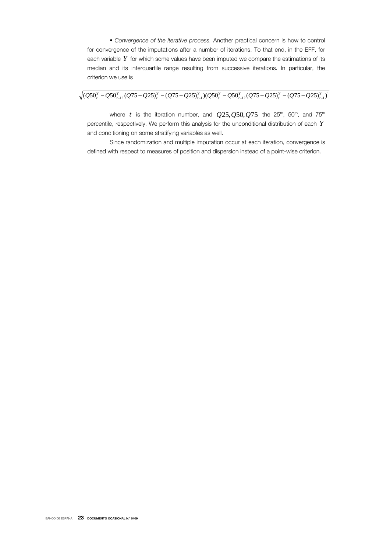• *Convergence of the iterative process.* Another practical concern is how to control for convergence of the imputations after a number of iterations. To that end, in the EFF, for each variable *Y* for which some values have been imputed we compare the estimations of its median and its interquartile range resulting from successive iterations. In particular, the criterion we use is

 $(Q50_i^Y - Q50_{i-1}^Y,(Q75 - Q25)_i^Y - (Q75 - Q25)_{i-1}^Y)(Q50_i^Y - Q50_{i-1}^Y,(Q75 - Q25)_i^Y - (Q75 - Q25)_{i-1}^Y)$ 

where *t* is the iteration number, and  $Q25, Q50, Q75$  the 25<sup>th</sup>, 50<sup>th</sup>, and 75<sup>th</sup> percentile, respectively. We perform this analysis for the unconditional distribution of each *Y* and conditioning on some stratifying variables as well.

Since randomization and multiple imputation occur at each iteration, convergence is defined with respect to measures of position and dispersion instead of a point-wise criterion.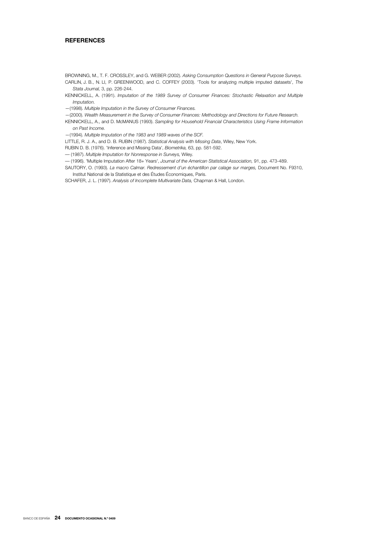## **REFERENCES**

- BROWNING, M., T. F. CROSSLEY, and G. WEBER (2002). *Asking Consumption Questions in General Purpose Surveys.*  CARLIN, J. B., N. LI, P. GREENWOOD, and C. COFFEY (2003). 'Tools for analyzing multiple imputed datasets', *The Stata Journal,* 3, pp. 226-244.
- KENNICKELL, A. (1991). *Imputation of the 1989 Survey of Consumer Finances: Stochastic Relaxation and Multiple Imputation.*
- —(1998). *Multiple Imputation in the Survey of Consumer Finances.*
- —(2000). *Wealth Measurement in the Survey of Consumer Finances: Methodology and Directions for Future Research.* KENNICKELL, A., and D. McMANUS (1993). *Sampling for Household Financial Characteristics Using Frame Information on Past Income.*
- —(1994). *Multiple Imputation of the 1983 and 1989 waves of the SCF.*
- LITTLE, R. J. A., and D. B. RUBIN (1987). *Statistical Analysis with Missing Data*, Wiley, New York.
- RUBIN D. B. (1976). 'Inference and Missing Data', *Biometrika,* 63, pp. 581-592.
- –– (1987). *Multiple Imputation for Nonresponse in Surveys,* Wiley.
- –– (1996). 'Multiple Imputation After 18+ Years', *Journal of the American Statistical Association,* 91, pp. 473-489.
- SAUTORY, O. (1993). *La macro Calmar. Redressement d'un échantillon par calage sur marges,* Document No. F9310, Institut National de la Statistique et des Études Économiques, Paris.
- SCHAFER, J. L. (1997). *Analysis of Incomplete Multivariate Data,* Chapman & Hall, London.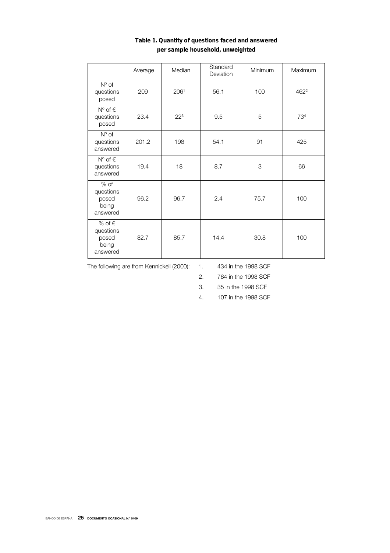|                                                            | Average | Median   | Standard<br>Deviation | Minimum | Maximum          |
|------------------------------------------------------------|---------|----------|-----------------------|---------|------------------|
| $N^{\circ}$ of<br>questions<br>posed                       | 209     | 2061     | 56.1                  | 100     | 462 <sup>2</sup> |
| $N^{\circ}$ of $\in$<br>questions<br>posed                 | 23.4    | $22^{3}$ | 9.5                   | 5       | 73 <sup>4</sup>  |
| $N^{\circ}$ of<br>questions<br>answered                    | 201.2   | 198      | 54.1                  | 91      | 425              |
| $N^{\circ}$ of $\in$<br>questions<br>answered              | 19.4    | 18       | 8.7                   | 3       | 66               |
| $%$ of<br>questions<br>posed<br>being<br>answered          | 96.2    | 96.7     | 2.4                   | 75.7    | 100              |
| % of $\epsilon$<br>questions<br>posed<br>being<br>answered | 82.7    | 85.7     | 14.4                  | 30.8    | 100              |

## Table 1. Quantity of questions faced and answered per sample household, unweighted

The following are from Kennickell (2000): 1. 434 in the 1998 SCF

2. 784 in the 1998 SCF

3. 35 in the 1998 SCF

4. 107 in the 1998 SCF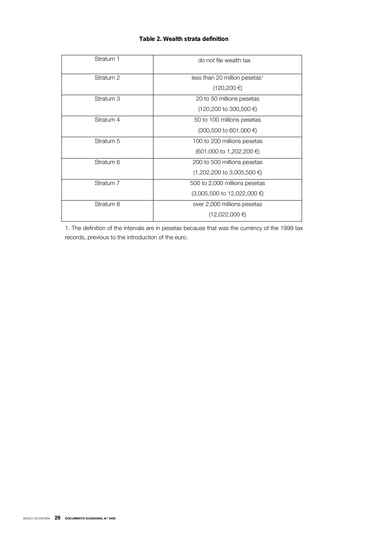## Table 2. Wealth strata definition

| do not file wealth tax                    |
|-------------------------------------------|
| less than 20 million pesetas <sup>1</sup> |
| $(120, 200 \in)$                          |
| 20 to 50 millions pesetas                 |
| $(120,200 \text{ to } 300,500 \in )$      |
| 50 to 100 millions pesetas                |
| $(300,500$ to 601,000 €)                  |
| 100 to 200 millions pesetas               |
| $(601,000 \text{ to } 1,202,200 \in )$    |
| 200 to 500 millions pesetas               |
| $(1,202,200 \text{ to } 3,005,500 \in )$  |
| 500 to 2,000 millions pesetas             |
| $(3,005,500)$ to 12,022,000 €             |
| over 2,000 millions pesetas               |
| $(12,022,000)$ €                          |
|                                           |

1. The definition of the intervals are in pesetas because that was the currency of the 1999 tax records, previous to the introduction of the euro.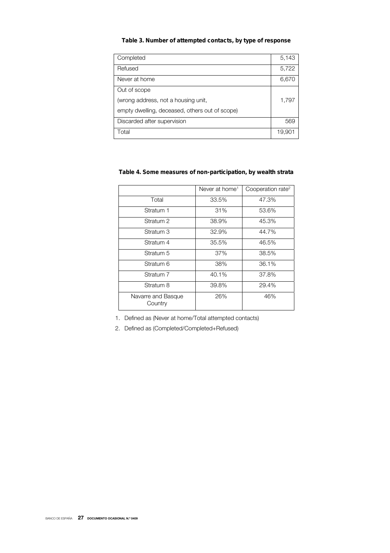## Table 3. Number of attempted contacts, by type of response

| Completed                                      | 5,143  |
|------------------------------------------------|--------|
| Refused                                        | 5,722  |
| Never at home                                  | 6,670  |
| Out of scope                                   |        |
| (wrong address, not a housing unit,            | 1,797  |
| empty dwelling, deceased, others out of scope) |        |
| Discarded after supervision                    | 569    |
| Total                                          | 19,901 |

## Table 4. Some measures of non-participation, by wealth strata

|                               | Never at home <sup>1</sup> | Cooperation rate <sup>2</sup> |
|-------------------------------|----------------------------|-------------------------------|
| Total                         | 33.5%                      | 47.3%                         |
| Stratum 1                     | 31%                        | 53.6%                         |
| Stratum <sub>2</sub>          | 38.9%                      | 45.3%                         |
| Stratum 3                     | 32.9%                      | 44.7%                         |
| Stratum 4                     | 35.5%                      | 46.5%                         |
| Stratum 5                     | 37%                        | 38.5%                         |
| Stratum 6                     | 38%                        | 36.1%                         |
| Stratum 7                     | 40.1%                      | 37.8%                         |
| Stratum 8                     | 39.8%                      | 29.4%                         |
| Navarre and Basque<br>Country | 26%                        | 46%                           |

1. Defined as (Never at home/Total attempted contacts)

2. Defined as (Completed/Completed+Refused)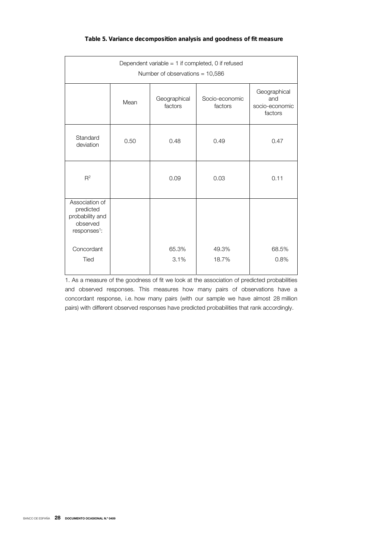|  | Table 5. Variance decomposition analysis and goodness of fit measure |  |
|--|----------------------------------------------------------------------|--|
|--|----------------------------------------------------------------------|--|

| Dependent variable = 1 if completed, 0 if refused<br>Number of observations = $10,586$ |      |                         |                           |                                                  |
|----------------------------------------------------------------------------------------|------|-------------------------|---------------------------|--------------------------------------------------|
|                                                                                        | Mean | Geographical<br>factors | Socio-economic<br>factors | Geographical<br>and<br>socio-economic<br>factors |
| Standard<br>deviation                                                                  | 0.50 | 0.48                    | 0.49                      | 0.47                                             |
| $R^2$                                                                                  |      | 0.09                    | 0.03                      | 0.11                                             |
| Association of<br>predicted<br>probability and<br>observed<br>responses <sup>1</sup> : |      |                         |                           |                                                  |
| Concordant<br>Tied                                                                     |      | 65.3%<br>3.1%           | 49.3%<br>18.7%            | 68.5%<br>0.8%                                    |

1. As a measure of the goodness of fit we look at the association of predicted probabilities and observed responses. This measures how many pairs of observations have a concordant response, i.e. how many pairs (with our sample we have almost 28 million pairs) with different observed responses have predicted probabilities that rank accordingly.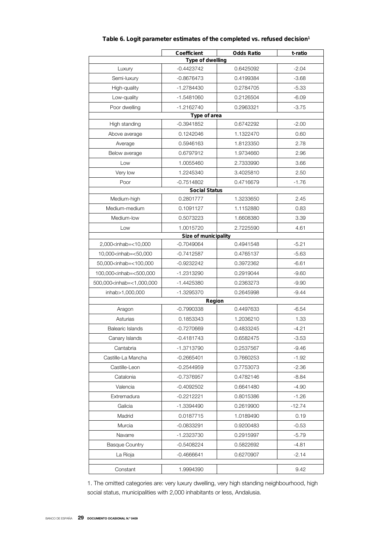|                                                                                                                               | Coefficient          | <b>Odds Ratio</b> | t-ratio  |  |  |
|-------------------------------------------------------------------------------------------------------------------------------|----------------------|-------------------|----------|--|--|
| Type of dwelling                                                                                                              |                      |                   |          |  |  |
| Luxury                                                                                                                        | $-0.4423742$         | 0.6425092         | $-2.04$  |  |  |
| $-0.8676473$<br>Semi-luxury                                                                                                   |                      | 0.4199384         | $-3.68$  |  |  |
| High-quality                                                                                                                  | -1.2784430           | 0.2784705         | -5.33    |  |  |
| Low-quality                                                                                                                   | $-1.5481060$         | 0.2126504         | $-6.09$  |  |  |
| Poor dwelling                                                                                                                 | $-1.2162740$         | 0.2963321         | $-3.75$  |  |  |
|                                                                                                                               | Type of area         |                   |          |  |  |
| High standing                                                                                                                 | $-0.3941852$         | 0.6742292         | $-2.00$  |  |  |
| Above average                                                                                                                 | 0.1242046            | 1.1322470         | 0.60     |  |  |
| Average                                                                                                                       | 0.5946163            | 1.8123350         | 2.78     |  |  |
| Below average                                                                                                                 | 0.6797912            | 1.9734660         | 2.96     |  |  |
| Low                                                                                                                           | 1.0055460            | 2.7333990         | 3.66     |  |  |
| Very low                                                                                                                      | 1.2245340            | 3.4025810         | 2.50     |  |  |
| Poor                                                                                                                          | $-0.7514802$         | 0.4716679         | $-1.76$  |  |  |
|                                                                                                                               | <b>Social Status</b> |                   |          |  |  |
| Medium-high                                                                                                                   | 0.2801777            | 1.3233650         | 2.45     |  |  |
| Medium-medium                                                                                                                 | 0.1091127            | 1.1152880         | 0.83     |  |  |
| Medium-low                                                                                                                    | 0.5073223            | 1.6608380         | 3.39     |  |  |
| Low                                                                                                                           | 1.0015720            | 2.7225590         | 4.61     |  |  |
|                                                                                                                               | Size of municipality |                   |          |  |  |
| 2,000 <inhab=<10,000< td=""><td><math>-0.7049064</math></td><td>0.4941548</td><td><math>-5.21</math></td></inhab=<10,000<>    | $-0.7049064$         | 0.4941548         | $-5.21$  |  |  |
| 10,000 <inhab=<50,000< td=""><td><math>-0.7412587</math></td><td>0.4765137</td><td><math>-5.63</math></td></inhab=<50,000<>   | $-0.7412587$         | 0.4765137         | $-5.63$  |  |  |
| 50,000 <inhab=<100,000< td=""><td><math>-0.9232242</math></td><td>0.3972362</td><td><math>-6.61</math></td></inhab=<100,000<> | $-0.9232242$         | 0.3972362         | $-6.61$  |  |  |
| 100,000 <inhab=<500,000< td=""><td>-1.2313290</td><td>0.2919044</td><td><math>-9.60</math></td></inhab=<500,000<>             | -1.2313290           | 0.2919044         | $-9.60$  |  |  |
| 500,000 <inhab=<1,000,000< td=""><td>-1.4425380</td><td>0.2363273</td><td><math>-9.90</math></td></inhab=<1,000,000<>         | -1.4425380           | 0.2363273         | $-9.90$  |  |  |
| inhab>1,000,000                                                                                                               | $-1.3295370$         | 0.2645998         | $-9.44$  |  |  |
|                                                                                                                               | Region               |                   |          |  |  |
| Aragon                                                                                                                        | $-0.7990338$         | 0.4497633         | $-6.54$  |  |  |
| Asturias                                                                                                                      | 0.1853343            | 1.2036210         | 1.33     |  |  |
| <b>Balearic Islands</b>                                                                                                       | $-0.7270669$         | 0.4833245         | $-4.21$  |  |  |
| Canary Islands                                                                                                                | $-0.4181743$         | 0.6582475         | $-3.53$  |  |  |
| Cantabria                                                                                                                     | -1.3713790           | 0.2537567         | $-9.46$  |  |  |
| Castille-La Mancha                                                                                                            | -0.2665401           | 0.7660253         | $-1.92$  |  |  |
| Castille-Leon                                                                                                                 | $-0.2544959$         | 0.7753073         | $-2.36$  |  |  |
| Catalonia                                                                                                                     | $-0.7376957$         | 0.4782146         | $-8.84$  |  |  |
| Valencia                                                                                                                      | $-0.4092502$         | 0.6641480         | $-4.90$  |  |  |
| Extremadura                                                                                                                   | -0.2212221           | 0.8015386         | $-1.26$  |  |  |
| Galicia                                                                                                                       | -1.3394490           | 0.2619900         | $-12.74$ |  |  |
| Madrid                                                                                                                        | 0.0187715            | 1.0189490         | 0.19     |  |  |
| Murcia                                                                                                                        | $-0.0833291$         | 0.9200483         | $-0.53$  |  |  |
| Navarre                                                                                                                       | -1.2323730           | 0.2915997         | $-5.79$  |  |  |
| <b>Basque Country</b>                                                                                                         | $-0.5408224$         | 0.5822692         | $-4.81$  |  |  |
| La Rioja                                                                                                                      | $-0.4666641$         | 0.6270907         | $-2.14$  |  |  |
| Constant                                                                                                                      | 1.9994390            |                   | 9.42     |  |  |

## Table 6. Logit parameter estimates of the completed vs. refused decision<sup>1</sup>

1. The omitted categories are: very luxury dwelling, very high standing neighbourhood, high social status, municipalities with 2,000 inhabitants or less, Andalusia.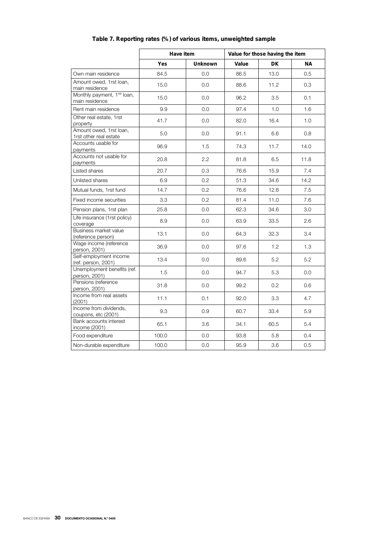|                                                           | Have item |                | Value for those having the item |           |           |
|-----------------------------------------------------------|-----------|----------------|---------------------------------|-----------|-----------|
|                                                           | Yes       | <b>Unknown</b> | Value                           | <b>DK</b> | <b>NA</b> |
| Own main residence                                        | 84.5      | 0.0            | 86.5                            | 13.0      | 0.5       |
| Amount owed, 1rst loan,<br>main residence                 | 15.0      | 0.0            | 88.6                            | 11.2      | 0.3       |
| Monthly payment, 1 <sup>rst</sup> loan,<br>main residence | 15.0      | 0.0            | 96.2                            | 3.5       | 0.1       |
| Rent main residence                                       | 9.9       | 0.0            | 97.4                            | 1.0       | 1.6       |
| Other real estate, 1rst<br>property                       | 41.7      | 0.0            | 82.0                            | 16.4      | 1.0       |
| Amount owed, 1rst loan,<br>1rst other real estate         | 5.0       | 0.0            | 91.1                            | 6.6       | 0.8       |
| Accounts usable for<br>payments                           | 96.9      | 1.5            | 74.3                            | 11.7      | 14.0      |
| Accounts not usable for<br>payments                       | 20.8      | 2.2            | 81.8                            | 6.5       | 11.8      |
| Listed shares                                             | 20.7      | 0.3            | 76.6                            | 15.9      | 7.4       |
| Unlisted shares                                           | 6.9       | 0.2            | 51.3                            | 34.6      | 14.2      |
| Mutual funds, 1rst fund                                   | 14.7      | 0.2            | 76.6                            | 12.8      | 7.5       |
| Fixed income securities                                   | 3.3       | 0.2            | 81.4                            | 11.0      | 7.6       |
| Pension plans, 1rst plan                                  | 25.8      | 0.0            | 62.3                            | 34.6      | 3.0       |
| Life insurance (1rst policy)<br>coverage                  | 8.9       | 0.0            | 63.9                            | 33.5      | 2.6       |
| Business market value<br>(reference person)               | 13.1      | 0.0            | 64.3                            | 32.3      | 3.4       |
| Wage income (reference<br>person, 2001)                   | 36.9      | 0.0            | 97.6                            | 1.2       | 1.3       |
| Self-employment income<br>(ref. person, 2001)             | 13.4      | 0.0            | 89.6                            | 5.2       | 5.2       |
| Unemployment benefits (ref.<br>person, 2001)              | 1.5       | 0.0            | 94.7                            | 5.3       | 0.0       |
| Pensions (reference<br>person, 2001)                      | 31.8      | 0.0            | 99.2                            | 0.2       | 0.6       |
| Income from real assets<br>(2001)                         | 11.1      | 0.1            | 92.0                            | 3.3       | 4.7       |
| Income from dividends,<br>coupons, etc (2001)             | 9.3       | 0.9            | 60.7                            | 33.4      | 5.9       |
| Bank accounts interest<br>income (2001)                   | 65.1      | 3.6            | 34.1                            | 60.5      | 5.4       |
| Food expenditure                                          | 100.0     | 0.0            | 93.8                            | 5.8       | 0.4       |
| Non-durable expenditure                                   | 100.0     | 0.0            | 95.9                            | 3.6       | 0.5       |

## Table 7. Reporting rates (%) of various items, unweighted sample